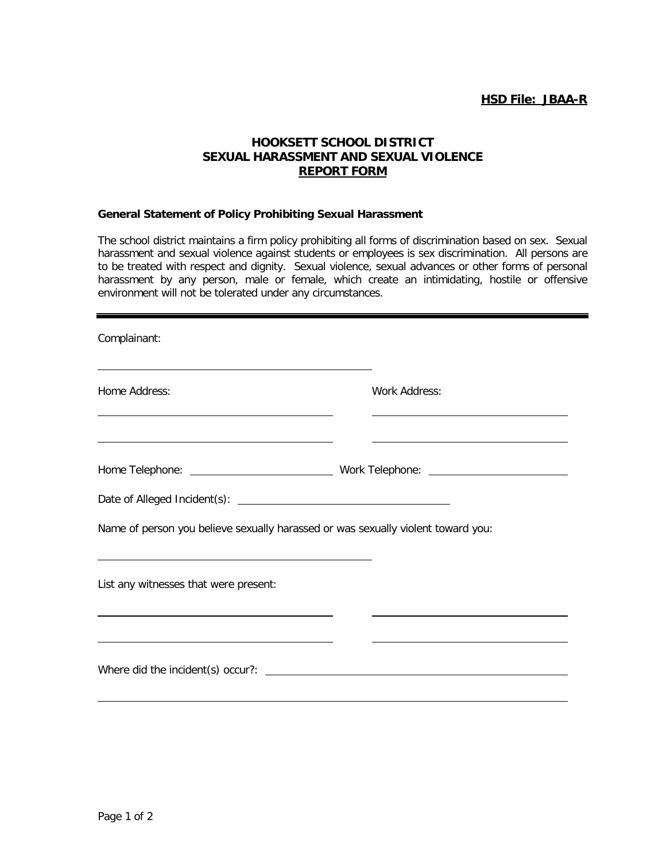## **HOOKSETT SCHOOL DISTRICT SEXUAL HARASSMENT AND SEXUAL VIOLENCE REPORT FORM**

## **General Statement of Policy Prohibiting Sexual Harassment**

The school district maintains a firm policy prohibiting all forms of discrimination based on sex. Sexual harassment and sexual violence against students or employees is sex discrimination. All persons are to be treated with respect and dignity. Sexual violence, sexual advances or other forms of personal harassment by any person, male or female, which create an intimidating, hostile or offensive environment will not be tolerated under any circumstances.

| Complainant:                                                                     |               |
|----------------------------------------------------------------------------------|---------------|
| Home Address:                                                                    | Work Address: |
|                                                                                  |               |
| Name of person you believe sexually harassed or was sexually violent toward you: |               |
| List any witnesses that were present:                                            |               |
| Where did the incident(s) occur?: $\qquad \qquad$                                |               |